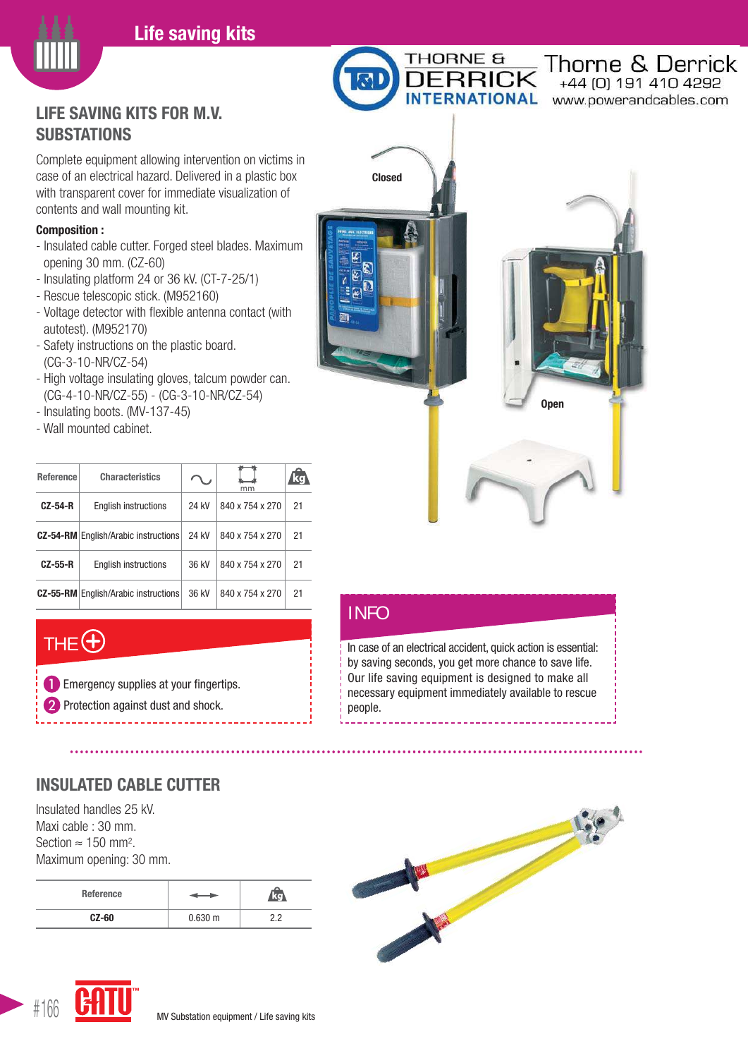#### **Life saving kits**



### **LIFE SAVING KITS FOR M.V. SUBSTATIONS**

Complete equipment allowing intervention on victims in case of an electrical hazard. Delivered in a plastic box with transparent cover for immediate visualization of contents and wall mounting kit.

#### **Composition :**

- Insulated cable cutter. Forged steel blades. Maximum opening 30 mm. (CZ-60)
- Insulating platform 24 or 36 kV. (CT-7-25/1)
- Rescue telescopic stick. (M952160)
- autotest). (M952170)
- (CG-3-10-NR/CZ-54)
- High voltage insulating gloves, talcum powder can. (CG-4-10-NR/CZ-55) - (CG-3-10-NR/CZ-54)
- Insulating boots. (MV-137-45)
- Wall mounted cabinet.

| <b>Reference</b> | <b>Characteristics</b>                      |       | mm              | ko |
|------------------|---------------------------------------------|-------|-----------------|----|
| <b>CZ-54-R</b>   | English instructions                        | 24 kV | 840 x 754 x 270 | 21 |
|                  | <b>CZ-54-RM</b> English/Arabic instructions | 24 kV | 840 x 754 x 270 | 21 |
| $CZ-55-R$        | <b>English instructions</b>                 | 36 kV | 840 x 754 x 270 | 21 |
|                  | <b>CZ-55-RM</b> English/Arabic instructions | 36 kV | 840 x 754 x 270 | 21 |

# THE  $\bigoplus$

**T** Emergency supplies at your fingertips. **Protection against dust and shock.** 

# **INSULATED CABLE CUTTER**

Insulated handles 25 kV. Maxi cable : 30 mm. Section  $\approx 150$  mm<sup>2</sup>. Maximum opening: 30 mm.

| Reference |              |     |
|-----------|--------------|-----|
| $CZ-60$   | $0.630 \; m$ | n n |





- 
- 
- Voltage detector with flexible antenna contact (with
- Safety instructions on the plastic board.
- 
- 
- 

| <b>Open</b> |
|-------------|
|             |

Thorne & Derrick

+44 (0) 191 410 4292

h

RNATIONAL www.powerandcables.com

#### INFO

**Closed**

THORNE &

**FRRICK** 

In case of an electrical accident, quick action is essential: by saving seconds, you get more chance to save life. Our life saving equipment is designed to make all necessary equipment immediately available to rescue people.